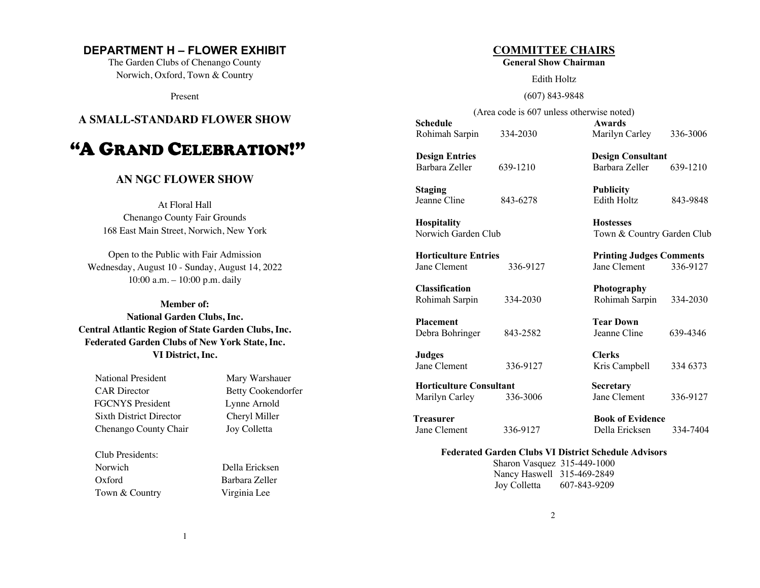# **DEPARTMENT H – FLOWER EXHIBIT**

The Garden Clubs of Chenango County Norwich, Oxford, Town & Country

Present

# **A SMALL-STANDARD FLOWER SHOW**

# "A GRAND CELEBRATION!"

# **AN NGC FLOWER SHOW**

At Floral Hall Chenango County Fair Grounds 168 East Main Street, Norwich, New York

Open to the Public with Fair Admission Wednesday, August 10 - Sunday, August 14, 2022 10:00 a.m. – 10:00 p.m. daily

**Member of: National Garden Clubs, Inc. Central Atlantic Region of State Garden Clubs, Inc. Federated Garden Clubs of New York State, Inc. VI District, Inc.**

| National President             |
|--------------------------------|
| <b>CAR</b> Director            |
| <b>FGCNYS</b> President        |
| <b>Sixth District Director</b> |
| Chenango County Chair          |

Club Presidents: Norwich Della Ericksen Oxford Barbara Zeller Town & Country Virginia Lee

Mary Warshauer Betty Cookendorfer Lynne Arnold Cheryl Miller Joy Colletta

# **COMMITTEE CHAIRS**

**General Show Chairman**

Edith Holtz

(607) 843-9848

(Area code is 607 unless otherwise noted)

**Schedule Awards** Rohimah Sarpin 334-2030 Marilyn Carley 336-3006

**Design Entries Design Consultant** Barbara Zeller 639-1210 Barbara Zeller 639-1210

**Staging Publicity** Jeanne Cline 843-6278 Edith Holtz 843-9848

 **Hospitality Hostesses** Norwich Garden Club Town & Country Garden Club

**Horticulture Entries 22 Comments** Printing Judges Comments Jane Clement 336-9127 Jane Clement 336-9127

 **Classification Photography** Rohimah Sarpin 334-2030 Rohimah Sarpin 334-2030

**Placement Tear Down** Debra Bohringer 843-2582 Jeanne Cline 639-4346

 **Judges Clerks** Jane Clement 336-9127 Kris Campbell 334 6373

**Horticulture Consultant Secretary** Marilyn Carley 336-3006 Jane Clement 336-9127

**Treasurer Book of Evidence** Jane Clement 336-9127 Della Ericksen 334-7404

## **Federated Garden Clubs VI District Schedule Advisors**

Sharon Vasquez 315-449-1000 Nancy Haswell 315-469-2849 Joy Colletta 607-843-9209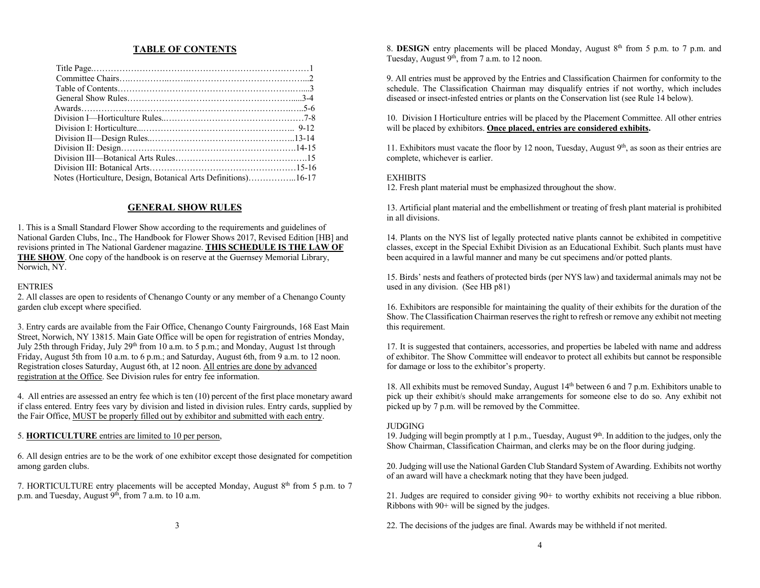#### **TABLE OF CONTENTS**

| Notes (Horticulture, Design, Botanical Arts Definitions)16-17 |  |
|---------------------------------------------------------------|--|
|                                                               |  |

#### **GENERAL SHOW RULES**

1. This is a Small Standard Flower Show according to the requirements and guidelines of National Garden Clubs, Inc., The Handbook for Flower Shows 2017, Revised Edition [HB] and revisions printed in The National Gardener magazine. **THIS SCHEDULE IS THE LAW OF THE SHOW**. One copy of the handbook is on reserve at the Guernsey Memorial Library, Norwich, NY.

#### ENTRIES

2. All classes are open to residents of Chenango County or any member of a Chenango County garden club except where specified.

3. Entry cards are available from the Fair Office, Chenango County Fairgrounds, 168 East Main Street, Norwich, NY 13815. Main Gate Office will be open for registration of entries Monday, July 25th through Friday, July 29th from 10 a.m. to 5 p.m.; and Monday, August 1st through Friday, August 5th from 10 a.m. to 6 p.m.; and Saturday, August 6th, from 9 a.m. to 12 noon. Registration closes Saturday, August 6th, at 12 noon. All entries are done by advanced registration at the Office. See Division rules for entry fee information.

4. All entries are assessed an entry fee which is ten (10) percent of the first place monetary award if class entered. Entry fees vary by division and listed in division rules. Entry cards, supplied by the Fair Office, MUST be properly filled out by exhibitor and submitted with each entry.

#### 5. **HORTICULTURE** entries are limited to 10 per person,

6. All design entries are to be the work of one exhibitor except those designated for competition among garden clubs.

7. HORTICULTURE entry placements will be accepted Monday, August  $8<sup>th</sup>$  from 5 p.m. to 7 p.m. and Tuesday, August 9<sup>th</sup>, from 7 a.m. to 10 a.m.

8. **DESIGN** entry placements will be placed Monday, August 8<sup>th</sup> from 5 p.m. to 7 p.m. and Tuesday, August 9<sup>th</sup>, from 7 a.m. to 12 noon.

9. All entries must be approved by the Entries and Classification Chairmen for conformity to the schedule. The Classification Chairman may disqualify entries if not worthy, which includes diseased or insect-infested entries or plants on the Conservation list (see Rule 14 below).

10. Division I Horticulture entries will be placed by the Placement Committee. All other entries will be placed by exhibitors. **Once placed, entries are considered exhibits.**

11. Exhibitors must vacate the floor by 12 noon, Tuesday, August  $9<sup>th</sup>$ , as soon as their entries are complete, whichever is earlier.

#### **EXHIBITS**

12. Fresh plant material must be emphasized throughout the show.

13. Artificial plant material and the embellishment or treating of fresh plant material is prohibited in all divisions.

14. Plants on the NYS list of legally protected native plants cannot be exhibited in competitive classes, except in the Special Exhibit Division as an Educational Exhibit. Such plants must have been acquired in a lawful manner and many be cut specimens and/or potted plants.

15. Birds' nests and feathers of protected birds (per NYS law) and taxidermal animals may not be used in any division. (See HB p81)

16. Exhibitors are responsible for maintaining the quality of their exhibits for the duration of the Show. The Classification Chairman reserves the right to refresh or remove any exhibit not meeting this requirement.

17. It is suggested that containers, accessories, and properties be labeled with name and address of exhibitor. The Show Committee will endeavor to protect all exhibits but cannot be responsible for damage or loss to the exhibitor's property.

18. All exhibits must be removed Sunday, August 14th between 6 and 7 p.m. Exhibitors unable to pick up their exhibit/s should make arrangements for someone else to do so. Any exhibit not picked up by 7 p.m. will be removed by the Committee.

#### JUDGING

19. Judging will begin promptly at 1 p.m., Tuesday, August  $9<sup>th</sup>$ . In addition to the judges, only the Show Chairman, Classification Chairman, and clerks may be on the floor during judging.

20. Judging will use the National Garden Club Standard System of Awarding. Exhibits not worthy of an award will have a checkmark noting that they have been judged.

21. Judges are required to consider giving 90+ to worthy exhibits not receiving a blue ribbon. Ribbons with 90+ will be signed by the judges.

22. The decisions of the judges are final. Awards may be withheld if not merited.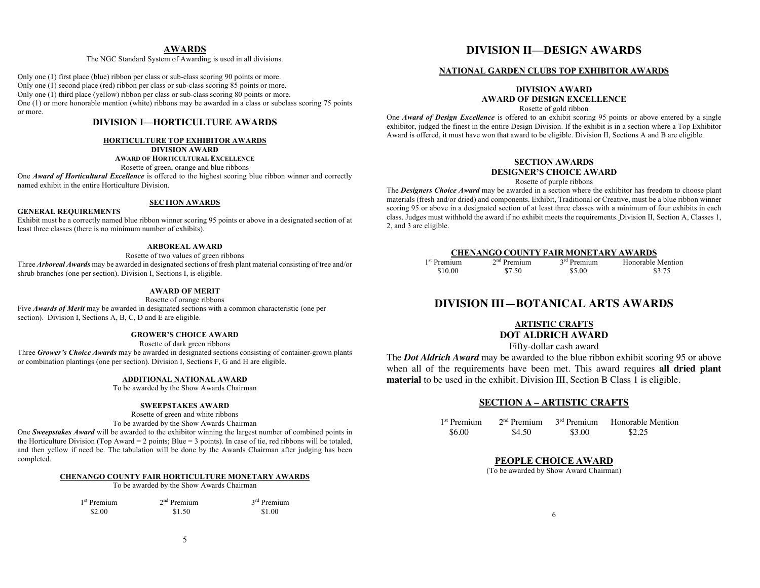#### **AWARDS**

The NGC Standard System of Awarding is used in all divisions.

Only one (1) first place (blue) ribbon per class or sub-class scoring 90 points or more. Only one (1) second place (red) ribbon per class or sub-class scoring 85 points or more. Only one (1) third place (yellow) ribbon per class or sub-class scoring 80 points or more. One (1) or more honorable mention (white) ribbons may be awarded in a class or subclass scoring 75 points or more.

### **DIVISION I—HORTICULTURE AWARDS**

#### **HORTICULTURE TOP EXHIBITOR AWARDS**

**DIVISION AWARD**

**AWARD OF HORTICULTURAL EXCELLENCE**

Rosette of green, orange and blue ribbons

One *Award of Horticultural Excellence* is offered to the highest scoring blue ribbon winner and correctly named exhibit in the entire Horticulture Division.

#### **SECTION AWARDS**

#### **GENERAL REQUIREMENTS**

Exhibit must be a correctly named blue ribbon winner scoring 95 points or above in a designated section of at least three classes (there is no minimum number of exhibits).

#### **ARBOREAL AWARD**

Rosette of two values of green ribbons

Three *Arboreal Awards* may be awarded in designated sections of fresh plant material consisting of tree and/or shrub branches (one per section). Division I, Sections I, is eligible.

#### **AWARD OF MERIT**

Rosette of orange ribbons

Five **Awards of Merit** may be awarded in designated sections with a common characteristic (one per section). Division I, Sections A, B, C, D and E are eligible.

#### **GROWER'S CHOICE AWARD**

Rosette of dark green ribbons Three *Grower's Choice Awards* may be awarded in designated sections consisting of container-grown plants or combination plantings (one per section). Division I, Sections F, G and H are eligible.

#### **ADDITIONAL NATIONAL AWARD**

To be awarded by the Show Awards Chairman

#### **SWEEPSTAKES AWARD**

Rosette of green and white ribbons

To be awarded by the Show Awards Chairman

One *Sweepstakes Award* will be awarded to the exhibitor winning the largest number of combined points in the Horticulture Division (Top Award = 2 points; Blue = 3 points). In case of tie, red ribbons will be totaled, and then yellow if need be. The tabulation will be done by the Awards Chairman after judging has been completed.

#### **CHENANGO COUNTY FAIR HORTICULTURE MONETARY AWARDS**

To be awarded by the Show Awards Chairman

| 1 <sup>st</sup> Premium | $2nd$ Premium | $3rd$ Premium |
|-------------------------|---------------|---------------|
| \$2.00                  | \$1.50        | \$1.00        |

# **DIVISION II—DESIGN AWARDS**

#### **NATIONAL GARDEN CLUBS TOP EXHIBITOR AWARDS**

### **DIVISION AWARD AWARD OF DESIGN EXCELLENCE**

Rosette of gold ribbon

One *Award of Design Excellence* is offered to an exhibit scoring 95 points or above entered by a single exhibitor, judged the finest in the entire Design Division. If the exhibit is in a section where a Top Exhibitor Award is offered, it must have won that award to be eligible. Division II, Sections A and B are eligible.

#### **SECTION AWARDS DESIGNER'S CHOICE AWARD**

#### Rosette of purple ribbons

The *Designers Choice Award* may be awarded in a section where the exhibitor has freedom to choose plant materials (fresh and/or dried) and components. Exhibit, Traditional or Creative, must be a blue ribbon winner scoring 95 or above in a designated section of at least three classes with a minimum of four exhibits in each class. Judges must withhold the award if no exhibit meets the requirements. Division II, Section A, Classes 1, 2, and 3 are eligible.

#### **CHENANGO COUNTY FAIR MONETARY AWARDS**

| 1 <sup>st</sup> Premium | $2nd$ Premium | 3 <sup>rd</sup> Premium | Honorable Mention |
|-------------------------|---------------|-------------------------|-------------------|
| \$10.00                 | \$7.50        | \$5.00                  | \$3.75            |

# **DIVISION III—BOTANICAL ARTS AWARDS**

#### **ARTISTIC CRAFTS DOT ALDRICH AWARD**

Fifty-dollar cash award

The *Dot Aldrich Award* may be awarded to the blue ribbon exhibit scoring 95 or above when all of the requirements have been met. This award requires **all dried plant material** to be used in the exhibit. Division III, Section B Class 1 is eligible.

#### **SECTION A – ARTISTIC CRAFTS**

| 1 <sup>st</sup> Premium | $2nd$ Premium | 3 <sup>rd</sup> Premium | <b>Honorable Mention</b> |
|-------------------------|---------------|-------------------------|--------------------------|
| \$6.00                  | \$4.50        | \$3.00                  | \$2.25                   |

#### **PEOPLE CHOICE AWARD**

(To be awarded by Show Award Chairman)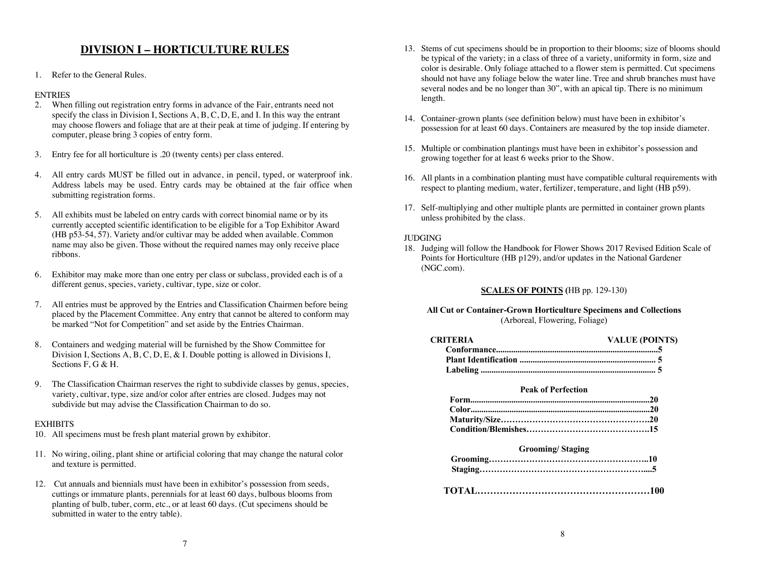# **DIVISION I – HORTICULTURE RULES**

1. Refer to the General Rules.

#### ENTRIES

- 2. When filling out registration entry forms in advance of the Fair, entrants need not specify the class in Division I, Sections A, B, C, D, E, and I. In this way the entrant may choose flowers and foliage that are at their peak at time of judging. If entering by computer, please bring 3 copies of entry form.
- 3. Entry fee for all horticulture is .20 (twenty cents) per class entered.
- 4. All entry cards MUST be filled out in advance, in pencil, typed, or waterproof ink. Address labels may be used. Entry cards may be obtained at the fair office when submitting registration forms.
- 5. All exhibits must be labeled on entry cards with correct binomial name or by its currently accepted scientific identification to be eligible for a Top Exhibitor Award (HB p53-54, 57). Variety and/or cultivar may be added when available. Common name may also be given. Those without the required names may only receive place ribbons.
- 6. Exhibitor may make more than one entry per class or subclass, provided each is of a different genus, species, variety, cultivar, type, size or color.
- 7. All entries must be approved by the Entries and Classification Chairmen before being placed by the Placement Committee. Any entry that cannot be altered to conform may be marked "Not for Competition" and set aside by the Entries Chairman.
- 8. Containers and wedging material will be furnished by the Show Committee for Division I, Sections A, B, C, D, E, & I. Double potting is allowed in Divisions I, Sections F, G & H.
- 9. The Classification Chairman reserves the right to subdivide classes by genus, species, variety, cultivar, type, size and/or color after entries are closed. Judges may not subdivide but may advise the Classification Chairman to do so.

#### **EXHIBITS**

- 10. All specimens must be fresh plant material grown by exhibitor.
- 11. No wiring, oiling, plant shine or artificial coloring that may change the natural color and texture is permitted.
- 12. Cut annuals and biennials must have been in exhibitor's possession from seeds, cuttings or immature plants, perennials for at least 60 days, bulbous blooms from planting of bulb, tuber, corm, etc., or at least 60 days. (Cut specimens should be submitted in water to the entry table).
- 13. Stems of cut specimens should be in proportion to their blooms; size of blooms should be typical of the variety; in a class of three of a variety, uniformity in form, size and color is desirable. Only foliage attached to a flower stem is permitted. Cut specimens should not have any foliage below the water line. Tree and shrub branches must have several nodes and be no longer than 30", with an apical tip. There is no minimum length.
- 14. Container-grown plants (see definition below) must have been in exhibitor's possession for at least 60 days. Containers are measured by the top inside diameter.
- 15. Multiple or combination plantings must have been in exhibitor's possession and growing together for at least 6 weeks prior to the Show.
- 16. All plants in a combination planting must have compatible cultural requirements with respect to planting medium, water, fertilizer, temperature, and light (HB p59).
- 17. Self-multiplying and other multiple plants are permitted in container grown plants unless prohibited by the class.

#### JUDGING

18. Judging will follow the Handbook for Flower Shows 2017 Revised Edition Scale of Points for Horticulture (HB p129), and/or updates in the National Gardener (NGC.com).

#### **SCALES OF POINTS (**HB pp. 129-130)

#### **All Cut or Container-Grown Horticulture Specimens and Collections** (Arboreal, Flowering, Foliage)

| CRITERIA | <b>VALUE (POINTS)</b> |
|----------|-----------------------|
|          |                       |
|          |                       |
|          |                       |
|          |                       |

#### **Peak of Perfection**

#### **Grooming/ Staging**

**TOTAL………………………………………………100**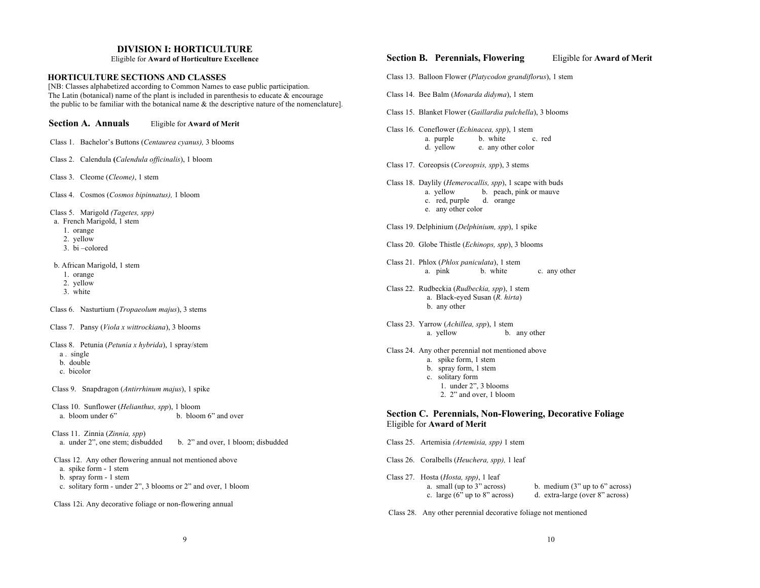#### **DIVISION I: HORTICULTURE**

Eligible for **Award of Horticulture Excellence**

#### **HORTICULTURE SECTIONS AND CLASSES**

 [NB: Classes alphabetized according to Common Names to ease public participation. The Latin (botanical) name of the plant is included in parenthesis to educate  $\&$  encourage the public to be familiar with the botanical name & the descriptive nature of the nomenclature].

 **Section A. Annuals** Eligible for **Award of Merit** Class 1. Bachelor's Buttons (*Centaurea cyanus),* 3 blooms Class 2. Calendula **(***Calendula officinalis*), 1 bloom Class 3. Cleome (*Cleome)*, 1 stem Class 4. Cosmos (*Cosmos bipinnatus),* 1 bloom Class 5. Marigold *(Tagetes, spp)* a. French Marigold, 1 stem 1. orange 2. yellow 3. bi –colored b. African Marigold, 1 stem 1. orange 2. yellow 3. white Class 6. Nasturtium (*Tropaeolum majus*), 3 stems Class 7. Pansy (*Viola x wittrockiana*), 3 blooms Class 8. Petunia (*Petunia x hybrida*), 1 spray/stem a . single b. double c. bicolor Class 9. Snapdragon (*Antirrhinum majus*), 1 spike Class 10. Sunflower (*Helianthus, spp*), 1 bloom a. bloom under 6" b. bloom 6" and over Class 11. Zinnia (*Zinnia, spp*) a. under 2", one stem; disbudded b. 2" and over, 1 bloom; disbudded Class 12. Any other flowering annual not mentioned above a. spike form - 1 stem b. spray form - 1 stem c. solitary form - under 2", 3 blooms or 2" and over, 1 bloom Class 12i. Any decorative foliage or non-flowering annual

# **Section B. Perennials, Flowering** Eligible for **Award of Merit**  Class 13. Balloon Flower (*Platycodon grandiflorus*), 1 stem Class 14. Bee Balm (*Monarda didyma*), 1 stem Class 15. Blanket Flower (*Gaillardia pulchella*), 3 blooms Class 16. Coneflower (*Echinacea, spp*), 1 stem a. purple b. white c. red<br>d. yellow e. any other color e. any other color Class 17. Coreopsis (*Coreopsis, spp*), 3 stems Class 18. Daylily (*Hemerocallis, spp*), 1 scape with buds a. yellow b. peach, pink or mauve c. red, purple d. orange e. any other color Class 19. Delphinium (*Delphinium, spp*), 1 spike Class 20. Globe Thistle (*Echinops, spp*), 3 blooms Class 21. Phlox (*Phlox paniculata*), 1 stem a. pink b. white c. any other Class 22. Rudbeckia (*Rudbeckia, spp*), 1 stem a. Black-eyed Susan (*R. hirta*) b. any other Class 23. Yarrow (*Achillea, spp*), 1 stem a. yellow b. any other Class 24. Any other perennial not mentioned above a. spike form, 1 stem b. spray form, 1 stem c. solitary form 1. under 2", 3 blooms 2. 2" and over, 1 bloom **Section C. Perennials, Non-Flowering, Decorative Foliage** Eligible for **Award of Merit**  Class 25. Artemisia *(Artemisia, spp)* 1 stem Class 26. Coralbells (*Heuchera, spp),* 1 leaf Class 27. Hosta (*Hosta, spp)*, 1 leaf a. small (up to 3" across) b. medium (3" up to 6" across) c. large (6" up to 8" across) d. extra-large (over 8" across) d. extra-large (over 8" across)

Class 28. Any other perennial decorative foliage not mentioned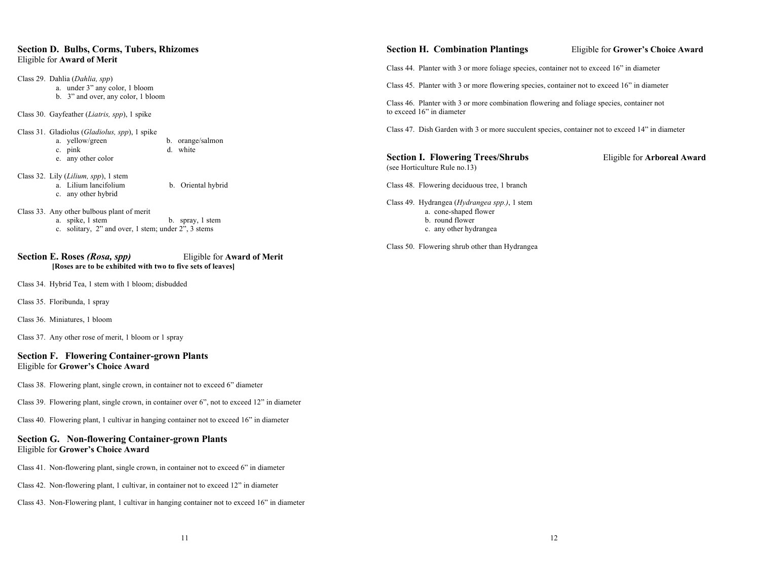#### **Section D. Bulbs, Corms, Tubers, Rhizomes**  Eligible for **Award of Merit**

Class 29. Dahlia (*Dahlia, spp*) a. under 3" any color, 1 bloom b. 3" and over, any color, 1 bloom Class 30. Gayfeather (*Liatris, spp*), 1 spike

Class 31. Gladiolus (*Gladiolus, spp*), 1 spike a. yellow/green b. orange/salmon c. pink d. white e. any other color

- Class 32. Lily (*Lilium, spp*), 1 stem a. Lilium lancifolium b. Oriental hybrid c. any other hybrid
- Class 33. Any other bulbous plant of merit
	- a. spike, 1 stem b. spray, 1 stem
	- c. solitary, 2" and over, 1 stem; under 2", 3 stems

#### **Section E. Roses** *(Rosa, spp)* Eligible for **Award of Merit [Roses are to be exhibited with two to five sets of leaves]**

Class 34. Hybrid Tea, 1 stem with 1 bloom; disbudded

Class 35. Floribunda, 1 spray

Class 36. Miniatures, 1 bloom

Class 37. Any other rose of merit, 1 bloom or 1 spray

#### **Section F. Flowering Container-grown Plants** Eligible for **Grower's Choice Award**

Class 38. Flowering plant, single crown, in container not to exceed 6" diameter

Class 39. Flowering plant, single crown, in container over 6", not to exceed 12" in diameter

Class 40. Flowering plant, 1 cultivar in hanging container not to exceed 16" in diameter

#### **Section G. Non-flowering Container-grown Plants** Eligible for **Grower's Choice Award**

Class 41. Non-flowering plant, single crown, in container not to exceed 6" in diameter

- Class 42. Non-flowering plant, 1 cultivar, in container not to exceed 12" in diameter
- Class 43. Non-Flowering plant, 1 cultivar in hanging container not to exceed 16" in diameter

#### **Section H. Combination Plantings** Eligible for **Grower's Choice Award**

Class 44. Planter with 3 or more foliage species, container not to exceed 16" in diameter

Class 45. Planter with 3 or more flowering species, container not to exceed 16" in diameter

Class 46. Planter with 3 or more combination flowering and foliage species, container not to exceed 16" in diameter

Class 47. Dish Garden with 3 or more succulent species, container not to exceed 14" in diameter

#### **Section I. Flowering Trees/Shrubs** Eligible for **Arboreal Award** (see Horticulture Rule no.13)

Class 48. Flowering deciduous tree, 1 branch

Class 49. Hydrangea (*Hydrangea spp.)*, 1 stem a. cone-shaped flower b. round flower c. any other hydrangea

Class 50. Flowering shrub other than Hydrangea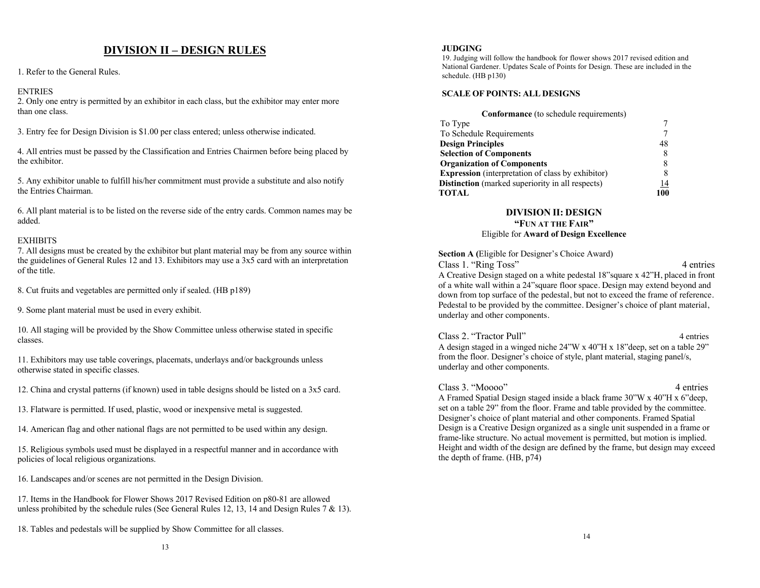# **DIVISION II – DESIGN RULES**

1. Refer to the General Rules.

#### **ENTRIES**

2. Only one entry is permitted by an exhibitor in each class, but the exhibitor may enter more than one class.

3. Entry fee for Design Division is \$1.00 per class entered; unless otherwise indicated.

4. All entries must be passed by the Classification and Entries Chairmen before being placed by the exhibitor.

5. Any exhibitor unable to fulfill his/her commitment must provide a substitute and also notify the Entries Chairman.

6. All plant material is to be listed on the reverse side of the entry cards. Common names may be added.

#### **EXHIBITS**

7. All designs must be created by the exhibitor but plant material may be from any source within the guidelines of General Rules 12 and 13. Exhibitors may use a 3x5 card with an interpretation of the title.

8. Cut fruits and vegetables are permitted only if sealed. (HB p189)

9. Some plant material must be used in every exhibit.

10. All staging will be provided by the Show Committee unless otherwise stated in specific classes.

11. Exhibitors may use table coverings, placemats, underlays and/or backgrounds unless otherwise stated in specific classes.

12. China and crystal patterns (if known) used in table designs should be listed on a 3x5 card.

13. Flatware is permitted. If used, plastic, wood or inexpensive metal is suggested.

14. American flag and other national flags are not permitted to be used within any design.

15. Religious symbols used must be displayed in a respectful manner and in accordance with policies of local religious organizations.

16. Landscapes and/or scenes are not permitted in the Design Division.

17. Items in the Handbook for Flower Shows 2017 Revised Edition on p80-81 are allowed unless prohibited by the schedule rules (See General Rules 12, 13, 14 and Design Rules 7  $\&$  13).

18. Tables and pedestals will be supplied by Show Committee for all classes.

19. Judging will follow the handbook for flower shows 2017 revised edition and National Gardener. Updates Scale of Points for Design. These are included in the schedule. (HB p130)

#### **SCALE OF POINTS: ALL DESIGNS**

| <b>Conformance</b> (to schedule requirements)            |    |
|----------------------------------------------------------|----|
| To Type                                                  |    |
| To Schedule Requirements                                 |    |
| <b>Design Principles</b>                                 | 48 |
| <b>Selection of Components</b>                           |    |
| <b>Organization of Components</b>                        |    |
| <b>Expression</b> (interpretation of class by exhibitor) |    |
| Distinction (marked superiority in all respects)         | 14 |
| <b>TOTAL</b>                                             |    |

# **DIVISION II: DESIGN**

#### **"FUN AT THE FAIR"** Eligible for **Award of Design Excellence**

 **Section A (**Eligible for Designer's Choice Award) Class 1. "Ring Toss" 4 entries

 A Creative Design staged on a white pedestal 18"square x 42"H, placed in front of a white wall within a 24"square floor space. Design may extend beyond and down from top surface of the pedestal, but not to exceed the frame of reference. Pedestal to be provided by the committee. Designer's choice of plant material, underlay and other components.

# Class 2. "Tractor Pull" 4 entries A design staged in a winged niche 24"W x 40"H x 18"deep, set on a table 29"

 from the floor. Designer's choice of style, plant material, staging panel/s, underlay and other components.

#### Class 3. "Moooo" 4 entries

 A Framed Spatial Design staged inside a black frame 30"W x 40"H x 6"deep, set on a table 29" from the floor. Frame and table provided by the committee. Designer's choice of plant material and other components. Framed Spatial Design is a Creative Design organized as a single unit suspended in a frame or frame-like structure. No actual movement is permitted, but motion is implied. Height and width of the design are defined by the frame, but design may exceed the depth of frame. (HB, p74)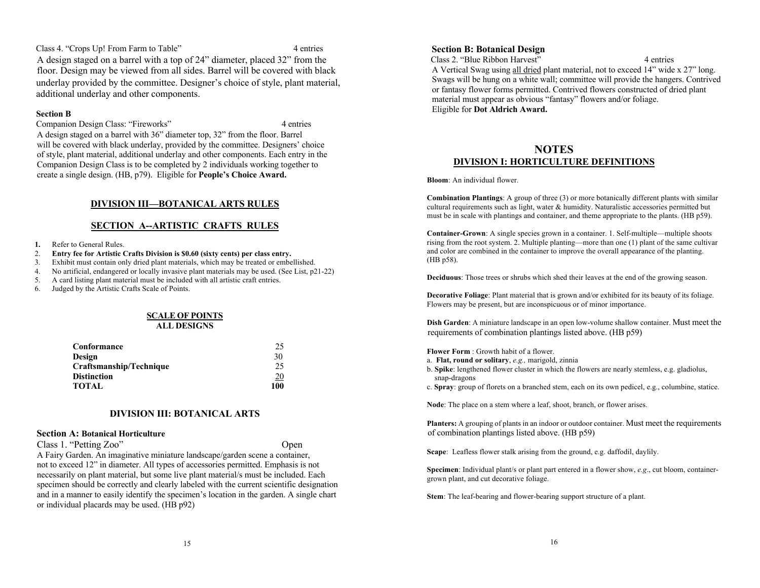Class 4. "Crops Up! From Farm to Table" 4 entries A design staged on a barrel with a top of 24" diameter, placed 32" from the floor. Design may be viewed from all sides. Barrel will be covered with black underlay provided by the committee. Designer's choice of style, plant material, additional underlay and other components.

#### **Section B**

 Companion Design Class: "Fireworks" 4 entries A design staged on a barrel with 36" diameter top, 32" from the floor. Barrel will be covered with black underlay, provided by the committee. Designers' choice of style, plant material, additional underlay and other components. Each entry in the Companion Design Class is to be completed by 2 individuals working together to create a single design. (HB, p79). Eligible for **People's Choice Award.** 

#### **DIVISION III—BOTANICAL ARTS RULES**

#### **SECTION A--ARTISTIC CRAFTS RULES**

- **1.** Refer to General Rules.
- 2. **Entry fee for Artistic Crafts Division is \$0.60 (sixty cents) per class entry.**
- 3. Exhibit must contain only dried plant materials, which may be treated or embellished.
- 4. No artificial, endangered or locally invasive plant materials may be used. (See List, p21-22)
- 5. A card listing plant material must be included with all artistic craft entries.

6. Judged by the Artistic Crafts Scale of Points.

#### **SCALE OF POINTS ALL DESIGNS**

| Conformance             | 25              |
|-------------------------|-----------------|
| Design                  | 30              |
| Craftsmanship/Technique | 25              |
| Distinction             | $\overline{20}$ |
| TOTAL                   | 100             |

#### **DIVISION III: BOTANICAL ARTS**

#### **Section A: Botanical Horticulture**

Class 1. "Petting Zoo" Open

 A Fairy Garden. An imaginative miniature landscape/garden scene a container, not to exceed 12" in diameter. All types of accessories permitted. Emphasis is not necessarily on plant material, but some live plant material/s must be included. Each specimen should be correctly and clearly labeled with the current scientific designation and in a manner to easily identify the specimen's location in the garden. A single chart or individual placards may be used. (HB p92)

#### **Section B: Botanical Design**

 Class 2. "Blue Ribbon Harvest" 4 entries A Vertical Swag using all dried plant material, not to exceed 14" wide x 27" long. Swags will be hung on a white wall; committee will provide the hangers. Contrived or fantasy flower forms permitted. Contrived flowers constructed of dried plant material must appear as obvious "fantasy" flowers and/or foliage. Eligible for **Dot Aldrich Award.** 

# **NOTES DIVISION I: HORTICULTURE DEFINITIONS**

 **Bloom**: An individual flower.

 **Combination Plantings**: A group of three (3) or more botanically different plants with similar cultural requirements such as light, water & humidity. Naturalistic accessories permitted but must be in scale with plantings and container, and theme appropriate to the plants. (HB p59).

 **Container-Grown**: A single species grown in a container. 1. Self-multiple—multiple shoots rising from the root system. 2. Multiple planting—more than one (1) plant of the same cultivar and color are combined in the container to improve the overall appearance of the planting. (HB p58).

 **Deciduous**: Those trees or shrubs which shed their leaves at the end of the growing season.

 **Decorative Foliage**: Plant material that is grown and/or exhibited for its beauty of its foliage. Flowers may be present, but are inconspicuous or of minor importance.

 **Dish Garden**: A miniature landscape in an open low-volume shallow container. Must meet the requirements of combination plantings listed above. (HB p59)

 **Flower Form** : Growth habit of a flower.

- a. **Flat, round or solitary**, *e.g.,* marigold, zinnia
- b. **Spike**: lengthened flower cluster in which the flowers are nearly stemless, e.g. gladiolus, snap-dragons
- c. **Spray**: group of florets on a branched stem, each on its own pedicel, e.g., columbine, statice.

 **Node**: The place on a stem where a leaf, shoot, branch, or flower arises.

 **Planters:** A grouping of plants in an indoor or outdoor container. Must meet the requirements of combination plantings listed above. (HB p59)

 **Scape**: Leafless flower stalk arising from the ground, e.g. daffodil, daylily.

 **Specimen**: Individual plant/s or plant part entered in a flower show, *e.g*., cut bloom, container grown plant, and cut decorative foliage.

 **Stem**: The leaf-bearing and flower-bearing support structure of a plant.